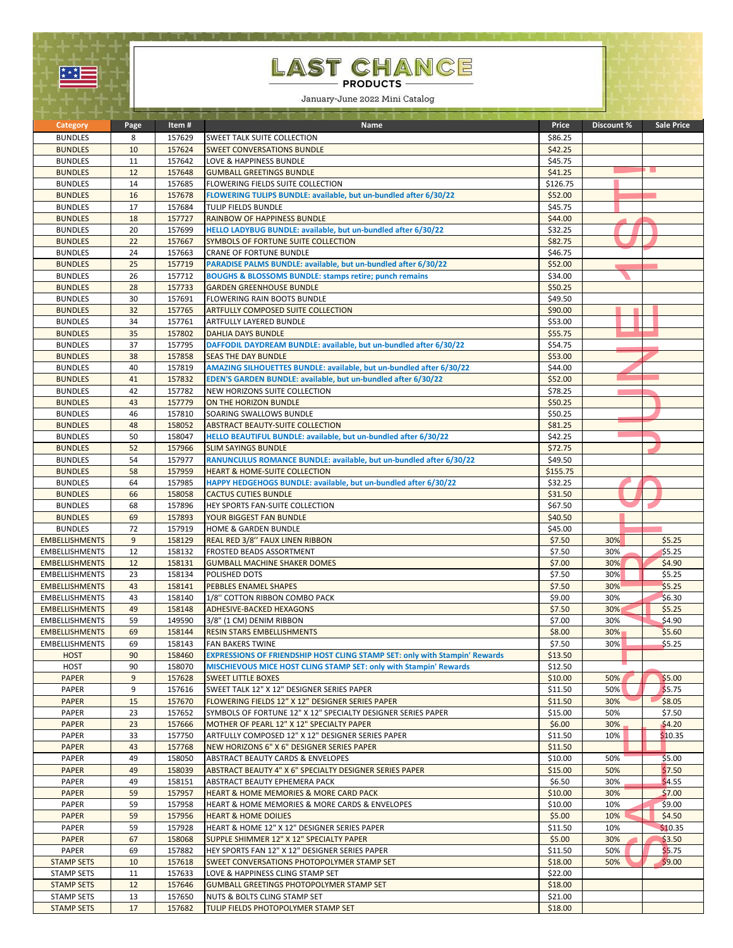| $\star^{\star}$<br>− |  |
|----------------------|--|
|                      |  |

## LAST CHANCE

January-June 2022 Mini Catalog

|                                                |          |                  | and the state of the state of the state of the state of the state of the state of the state of the state of the |                    |            |                   |
|------------------------------------------------|----------|------------------|-----------------------------------------------------------------------------------------------------------------|--------------------|------------|-------------------|
| Category                                       | Page     | Item #           | Name                                                                                                            | Price              | Discount % | <b>Sale Price</b> |
| <b>BUNDLES</b>                                 | 8        | 157629           | SWEET TALK SUITE COLLECTION                                                                                     | \$86.25            |            |                   |
| <b>BUNDLES</b><br><b>BUNDLES</b>               | 10<br>11 | 157624<br>157642 | <b>SWEET CONVERSATIONS BUNDLE</b><br>LOVE & HAPPINESS BUNDLE                                                    | \$42.25<br>\$45.75 |            |                   |
| <b>BUNDLES</b>                                 | 12       | 157648           | <b>GUMBALL GREETINGS BUNDLE</b>                                                                                 | \$41.25            |            |                   |
| <b>BUNDLES</b>                                 | 14       | 157685           | FLOWERING FIELDS SUITE COLLECTION                                                                               | \$126.75           |            |                   |
| <b>BUNDLES</b>                                 | 16       | 157678           | FLOWERING TULIPS BUNDLE: available, but un-bundled after 6/30/22                                                | \$52.00            |            |                   |
| <b>BUNDLES</b>                                 | 17       | 157684           | TULIP FIELDS BUNDLE                                                                                             | \$45.75            |            |                   |
| <b>BUNDLES</b>                                 | 18       | 157727           | RAINBOW OF HAPPINESS BUNDLE                                                                                     | \$44.00            |            |                   |
| <b>BUNDLES</b>                                 | 20       | 157699           | HELLO LADYBUG BUNDLE: available, but un-bundled after 6/30/22                                                   | \$32.25            |            |                   |
| <b>BUNDLES</b>                                 | 22       | 157667           | SYMBOLS OF FORTUNE SUITE COLLECTION                                                                             | \$82.75            |            |                   |
| <b>BUNDLES</b>                                 | 24       | 157663           | <b>CRANE OF FORTUNE BUNDLE</b>                                                                                  | \$46.75            |            |                   |
| <b>BUNDLES</b>                                 | 25       | 157719           | PARADISE PALMS BUNDLE: available, but un-bundled after 6/30/22                                                  | \$52.00            |            |                   |
| <b>BUNDLES</b>                                 | 26       | 157712           | <b>BOUGHS &amp; BLOSSOMS BUNDLE: stamps retire; punch remains</b>                                               | \$34.00            |            |                   |
| <b>BUNDLES</b>                                 | 28       | 157733           | <b>GARDEN GREENHOUSE BUNDLE</b>                                                                                 | \$50.25            |            |                   |
| <b>BUNDLES</b>                                 | 30       | 157691           | FLOWERING RAIN BOOTS BUNDLE                                                                                     | \$49.50            |            |                   |
| <b>BUNDLES</b>                                 | 32       | 157765           | <b>ARTFULLY COMPOSED SUITE COLLECTION</b>                                                                       | \$90.00            |            |                   |
| <b>BUNDLES</b>                                 | 34       | 157761           | ARTFULLY LAYERED BUNDLE                                                                                         | \$53.00            |            |                   |
| <b>BUNDLES</b>                                 | 35<br>37 | 157802<br>157795 | <b>DAHLIA DAYS BUNDLE</b><br>DAFFODIL DAYDREAM BUNDLE: available, but un-bundled after 6/30/22                  | \$55.75<br>\$54.75 |            |                   |
| <b>BUNDLES</b><br><b>BUNDLES</b>               | 38       | 157858           | <b>SEAS THE DAY BUNDLE</b>                                                                                      | \$53.00            |            |                   |
| <b>BUNDLES</b>                                 | 40       | 157819           | AMAZING SILHOUETTES BUNDLE: available, but un-bundled after 6/30/22                                             | \$44.00            |            |                   |
| <b>BUNDLES</b>                                 | 41       | 157832           | EDEN'S GARDEN BUNDLE: available, but un-bundled after 6/30/22                                                   | \$52.00            |            |                   |
| <b>BUNDLES</b>                                 | 42       | 157782           | NEW HORIZONS SUITE COLLECTION                                                                                   | \$78.25            |            |                   |
| <b>BUNDLES</b>                                 | 43       | 157779           | ON THE HORIZON BUNDLE                                                                                           | \$50.25            |            |                   |
| <b>BUNDLES</b>                                 | 46       | 157810           | SOARING SWALLOWS BUNDLE                                                                                         | \$50.25            |            |                   |
| <b>BUNDLES</b>                                 | 48       | 158052           | <b>ABSTRACT BEAUTY-SUITE COLLECTION</b>                                                                         | \$81.25            |            |                   |
| <b>BUNDLES</b>                                 | 50       | 158047           | HELLO BEAUTIFUL BUNDLE: available, but un-bundled after 6/30/22                                                 | \$42.25            |            |                   |
| <b>BUNDLES</b>                                 | 52       | 157966           | <b>SLIM SAYINGS BUNDLE</b>                                                                                      | \$72.75            |            |                   |
| <b>BUNDLES</b>                                 | 54       | 157977           | RANUNCULUS ROMANCE BUNDLE: available, but un-bundled after 6/30/22                                              | \$49.50            |            |                   |
| <b>BUNDLES</b>                                 | 58       | 157959           | <b>HEART &amp; HOME-SUITE COLLECTION</b>                                                                        | \$155.75           |            |                   |
| <b>BUNDLES</b>                                 | 64       | 157985           | HAPPY HEDGEHOGS BUNDLE: available, but un-bundled after 6/30/22                                                 | \$32.25            |            |                   |
| <b>BUNDLES</b>                                 | 66       | 158058           | <b>CACTUS CUTIES BUNDLE</b>                                                                                     | \$31.50            |            |                   |
| <b>BUNDLES</b>                                 | 68       | 157896           | HEY SPORTS FAN-SUITE COLLECTION                                                                                 | \$67.50            |            |                   |
| <b>BUNDLES</b>                                 | 69       | 157893           | YOUR BIGGEST FAN BUNDLE                                                                                         | \$40.50            |            |                   |
| <b>BUNDLES</b>                                 | 72       | 157919           | HOME & GARDEN BUNDLE                                                                                            | \$45.00            |            |                   |
| <b>EMBELLISHMENTS</b>                          | 9        | 158129           | REAL RED 3/8" FAUX LINEN RIBBON                                                                                 | \$7.50             | 30%        | \$5.25            |
| <b>EMBELLISHMENTS</b>                          | 12<br>12 | 158132<br>158131 | FROSTED BEADS ASSORTMENT                                                                                        | \$7.50             | 30%<br>30% | \$5.25<br>\$4.90  |
| <b>EMBELLISHMENTS</b><br><b>EMBELLISHMENTS</b> | 23       | 158134           | <b>GUMBALL MACHINE SHAKER DOMES</b><br>POLISHED DOTS                                                            | \$7.00<br>\$7.50   | 30%        | \$5.25            |
| <b>EMBELLISHMENTS</b>                          | 43       | 158141           | PEBBLES ENAMEL SHAPES                                                                                           | \$7.50             | 30%        | \$5.25            |
| <b>EMBELLISHMENTS</b>                          | 43       | 158140           | 1/8" COTTON RIBBON COMBO PACK                                                                                   | \$9.00             | 30%        | \$6.30            |
| <b>EMBELLISHMENTS</b>                          | 49       | 158148           | <b>ADHESIVE-BACKED HEXAGONS</b>                                                                                 | \$7.50             | 30%        | \$5.25            |
| <b>EMBELLISHMENTS</b>                          | 59       | 149590           | 3/8" (1 CM) DENIM RIBBON                                                                                        | \$7.00             | 30%        | \$4.90            |
| <b>EMBELLISHMENTS</b>                          | 69       | 158144           | <b>RESIN STARS EMBELLISHMENTS</b>                                                                               | \$8.00             | 30%        | \$5.60            |
| <b>EMBELLISHMENTS</b>                          | 69       | 158143           | <b>FAN BAKERS TWINE</b>                                                                                         | \$7.50             | 30%        | \$5.25            |
| <b>HOST</b>                                    | 90       | 158460           | <b>EXPRESSIONS OF FRIENDSHIP HOST CLING STAMP SET: only with Stampin' Rewards</b>                               | \$13.50            |            |                   |
| <b>HOST</b>                                    | 90       | 158070           | MISCHIEVOUS MICE HOST CLING STAMP SET: only with Stampin' Rewards                                               | \$12.50            |            |                   |
| <b>PAPER</b>                                   | 9        | 157628           | <b>SWEET LITTLE BOXES</b>                                                                                       | \$10.00            | 50%        | \$5.00            |
| PAPER                                          | 9        | 157616           | SWEET TALK 12" X 12" DESIGNER SERIES PAPER                                                                      | \$11.50            | 50%        | \$5.75            |
| <b>PAPER</b>                                   | 15       | 157670           | FLOWERING FIELDS 12" X 12" DESIGNER SERIES PAPER                                                                | \$11.50            | 30%        | \$8.05            |
| PAPER                                          | 23       | 157652           | SYMBOLS OF FORTUNE 12" X 12" SPECIALTY DESIGNER SERIES PAPER                                                    | \$15.00            | 50%        | \$7.50            |
| <b>PAPER</b><br>PAPER                          | 23<br>33 | 157666<br>157750 | MOTHER OF PEARL 12" X 12" SPECIALTY PAPER<br>ARTFULLY COMPOSED 12" X 12" DESIGNER SERIES PAPER                  | \$6.00<br>\$11.50  | 30%<br>10% | \$4.20<br>\$10.35 |
|                                                |          |                  |                                                                                                                 |                    |            |                   |
| <b>PAPER</b><br><b>PAPER</b>                   | 43<br>49 | 157768<br>158050 | NEW HORIZONS 6" X 6" DESIGNER SERIES PAPER<br>ABSTRACT BEAUTY CARDS & ENVELOPES                                 | \$11.50<br>\$10.00 | 50%        | \$5.00            |
| <b>PAPER</b>                                   | 49       | 158039           | ABSTRACT BEAUTY 4" X 6" SPECIALTY DESIGNER SERIES PAPER                                                         | \$15.00            | 50%        | \$7.50            |
| <b>PAPER</b>                                   | 49       | 158151           | ABSTRACT BEAUTY EPHEMERA PACK                                                                                   | \$6.50             | 30%        | \$4.55            |
| <b>PAPER</b>                                   | 59       | 157957           | HEART & HOME MEMORIES & MORE CARD PACK                                                                          | \$10.00            | 30%        | \$7.00            |
| <b>PAPER</b>                                   | 59       | 157958           | HEART & HOME MEMORIES & MORE CARDS & ENVELOPES                                                                  | \$10.00            | 10%        | \$9.00            |
| <b>PAPER</b>                                   | 59       | 157956           | <b>HEART &amp; HOME DOILIES</b>                                                                                 | \$5.00             | 10%        | \$4.50            |
| PAPER                                          | 59       | 157928           | HEART & HOME 12" X 12" DESIGNER SERIES PAPER                                                                    | \$11.50            | 10%        | \$10.35           |
| <b>PAPER</b>                                   | 67       | 158068           | SUPPLE SHIMMER 12" X 12" SPECIALTY PAPER                                                                        | \$5.00             | 30%        | \$3.50            |
| PAPER                                          | 69       | 157882           | HEY SPORTS FAN 12" X 12" DESIGNER SERIES PAPER                                                                  | \$11.50            | 50%        | \$5.75            |
| <b>STAMP SETS</b>                              | 10       | 157618           | SWEET CONVERSATIONS PHOTOPOLYMER STAMP SET                                                                      | \$18.00            | 50%        | \$9.00            |
| <b>STAMP SETS</b>                              | 11       | 157633           | LOVE & HAPPINESS CLING STAMP SET                                                                                | \$22.00            |            |                   |
| <b>STAMP SETS</b>                              | 12       | 157646           | <b>GUMBALL GREETINGS PHOTOPOLYMER STAMP SET</b>                                                                 | \$18.00            |            |                   |
| <b>STAMP SETS</b>                              | 13       | 157650           | NUTS & BOLTS CLING STAMP SET                                                                                    | \$21.00            |            |                   |
| <b>STAMP SETS</b>                              | 17       | 157682           | TULIP FIELDS PHOTOPOLYMER STAMP SET                                                                             | \$18.00            |            |                   |